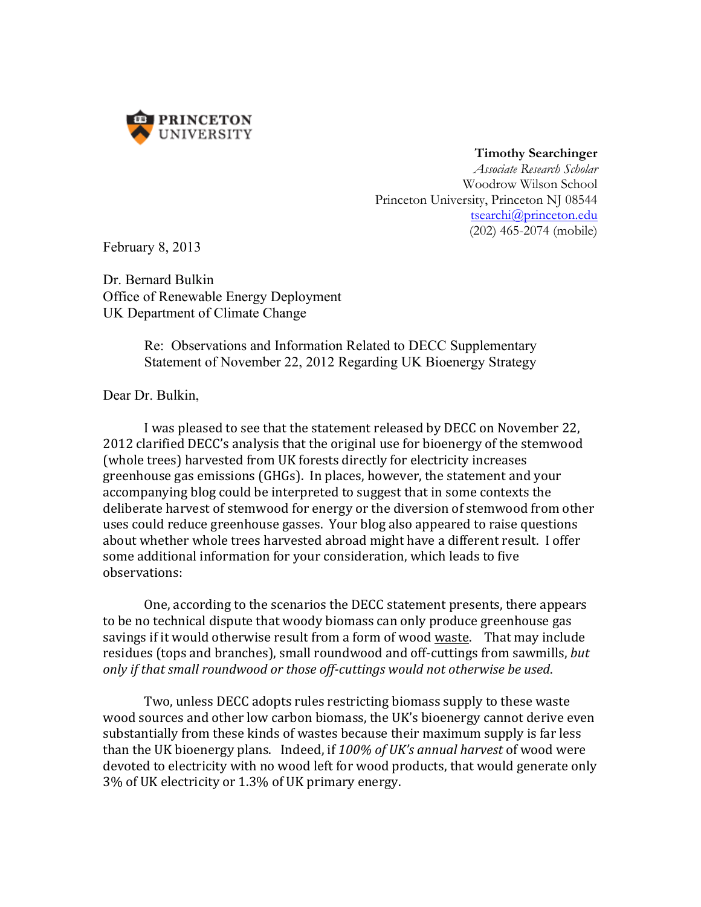

 **Timothy Searchinger**

*Associate Research Scholar* Woodrow Wilson School Princeton University, Princeton NJ 08544 tsearchi@princeton.edu (202) 465-2074 (mobile)

February 8, 2013

Dr. Bernard Bulkin Office of Renewable Energy Deployment UK Department of Climate Change

> Re: Observations and Information Related to DECC Supplementary Statement of November 22, 2012 Regarding UK Bioenergy Strategy

Dear Dr. Bulkin,

I was pleased to see that the statement released by DECC on November 22, 2012 clarified DECC's analysis that the original use for bioenergy of the stemwood (whole trees) harvested from UK forests directly for electricity increases greenhouse gas emissions (GHGs). In places, however, the statement and your accompanying blog could be interpreted to suggest that in some contexts the deliberate harvest of stemwood for energy or the diversion of stemwood from other uses could reduce greenhouse gasses. Your blog also appeared to raise questions about whether whole trees harvested abroad might have a different result. I offer some additional information for your consideration, which leads to five observations: 

One, according to the scenarios the DECC statement presents, there appears to be no technical dispute that woody biomass can only produce greenhouse gas savings if it would otherwise result from a form of wood waste. That may include residues (tops and branches), small roundwood and off-cuttings from sawmills, *but only if that small roundwood or those off-cuttings would not otherwise be used*. 

Two, unless DECC adopts rules restricting biomass supply to these waste wood sources and other low carbon biomass, the UK's bioenergy cannot derive even substantially from these kinds of wastes because their maximum supply is far less than the UK bioenergy plans. Indeed, if 100% of UK's annual harvest of wood were devoted to electricity with no wood left for wood products, that would generate only 3% of UK electricity or 1.3% of UK primary energy.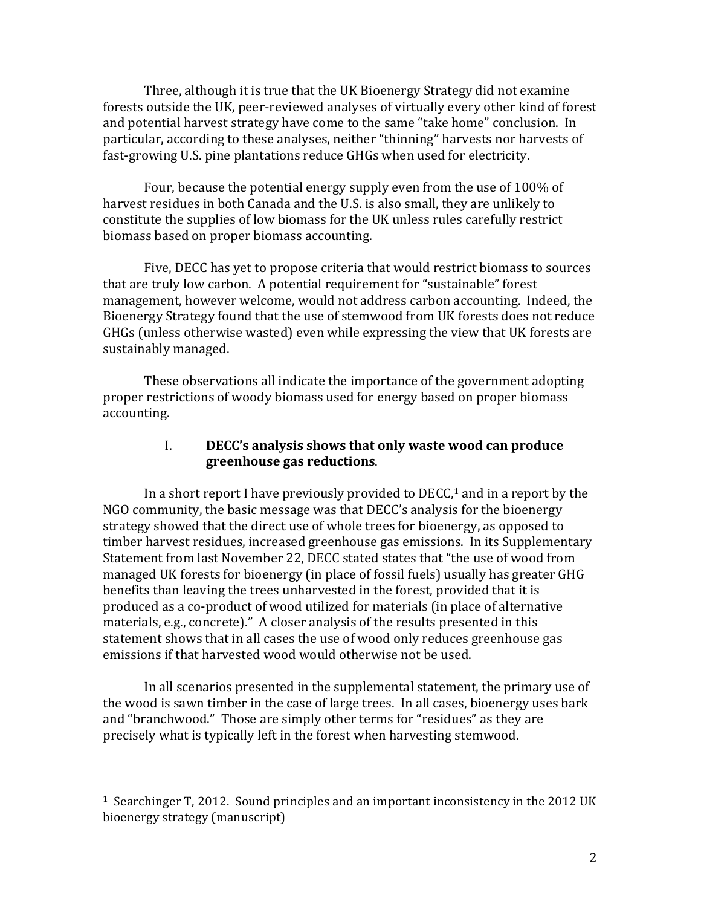Three, although it is true that the UK Bioenergy Strategy did not examine forests outside the UK, peer-reviewed analyses of virtually every other kind of forest and potential harvest strategy have come to the same "take home" conclusion. In particular, according to these analyses, neither "thinning" harvests nor harvests of fast-growing U.S. pine plantations reduce GHGs when used for electricity.

Four, because the potential energy supply even from the use of 100% of harvest residues in both Canada and the U.S. is also small, they are unlikely to constitute the supplies of low biomass for the UK unless rules carefully restrict biomass based on proper biomass accounting.

Five, DECC has yet to propose criteria that would restrict biomass to sources that are truly low carbon. A potential requirement for "sustainable" forest management, however welcome, would not address carbon accounting. Indeed, the Bioenergy Strategy found that the use of stemwood from UK forests does not reduce GHGs (unless otherwise wasted) even while expressing the view that UK forests are sustainably managed.

These observations all indicate the importance of the government adopting proper restrictions of woody biomass used for energy based on proper biomass accounting.

### I. **DECC's analysis shows that only waste wood can produce greenhouse gas reductions**.

In a short report I have previously provided to  $DECC<sub>1</sub><sup>1</sup>$  and in a report by the NGO community, the basic message was that DECC's analysis for the bioenergy strategy showed that the direct use of whole trees for bioenergy, as opposed to timber harvest residues, increased greenhouse gas emissions. In its Supplementary Statement from last November 22, DECC stated states that "the use of wood from managed UK forests for bioenergy (in place of fossil fuels) usually has greater GHG benefits than leaving the trees unharvested in the forest, provided that it is produced as a co-product of wood utilized for materials (in place of alternative materials, e.g., concrete)." A closer analysis of the results presented in this statement shows that in all cases the use of wood only reduces greenhouse gas emissions if that harvested wood would otherwise not be used.

In all scenarios presented in the supplemental statement, the primary use of the wood is sawn timber in the case of large trees. In all cases, bioenergy uses bark and "branchwood." Those are simply other terms for "residues" as they are precisely what is typically left in the forest when harvesting stemwood.

 $1$  Searchinger T, 2012. Sound principles and an important inconsistency in the 2012 UK bioenergy strategy (manuscript)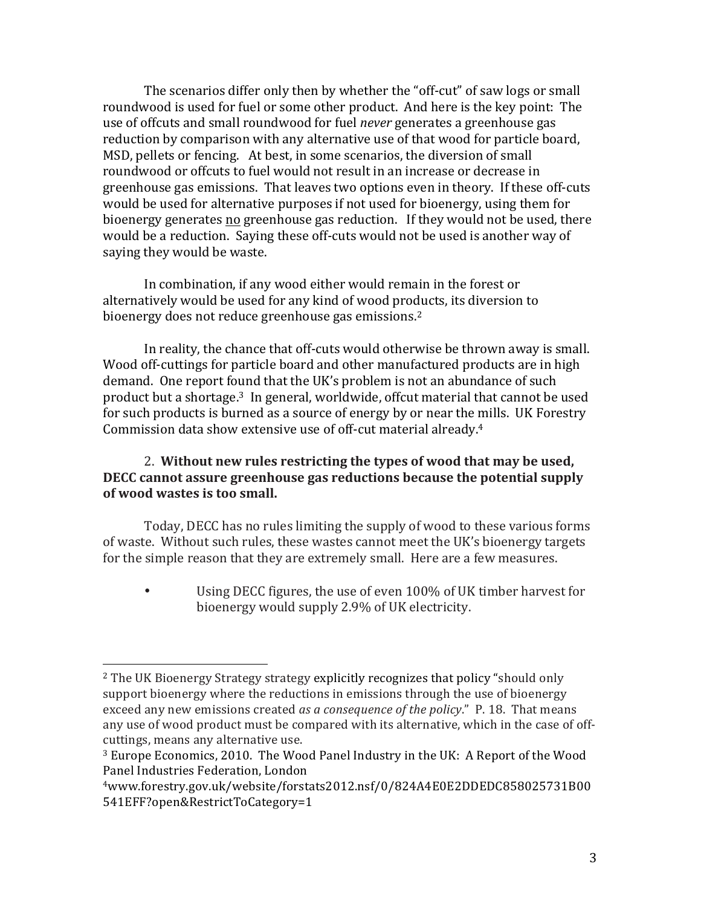The scenarios differ only then by whether the "off-cut" of saw logs or small roundwood is used for fuel or some other product. And here is the key point: The use of offcuts and small roundwood for fuel *never* generates a greenhouse gas reduction by comparison with any alternative use of that wood for particle board, MSD, pellets or fencing. At best, in some scenarios, the diversion of small roundwood or offcuts to fuel would not result in an increase or decrease in greenhouse gas emissions. That leaves two options even in theory. If these off-cuts would be used for alternative purposes if not used for bioenergy, using them for bioenergy generates no greenhouse gas reduction. If they would not be used, there would be a reduction. Saying these off-cuts would not be used is another way of saying they would be waste.

In combination, if any wood either would remain in the forest or alternatively would be used for any kind of wood products, its diversion to bioenergy does not reduce greenhouse gas emissions.<sup>2</sup>

In reality, the chance that off-cuts would otherwise be thrown away is small. Wood off-cuttings for particle board and other manufactured products are in high demand. One report found that the UK's problem is not an abundance of such product but a shortage.<sup>3</sup> In general, worldwide, offcut material that cannot be used for such products is burned as a source of energy by or near the mills. UK Forestry Commission data show extensive use of off-cut material already.<sup>4</sup>

## 2. Without new rules restricting the types of wood that may be used, **DECC** cannot assure greenhouse gas reductions because the potential supply **of wood wastes is too small.**

Today, DECC has no rules limiting the supply of wood to these various forms of waste. Without such rules, these wastes cannot meet the UK's bioenergy targets for the simple reason that they are extremely small. Here are a few measures.

Using DECC figures, the use of even 100% of UK timber harvest for bioenergy would supply 2.9% of UK electricity.

<sup>&</sup>lt;sup>2</sup> The UK Bioenergy Strategy strategy explicitly recognizes that policy "should only support bioenergy where the reductions in emissions through the use of bioenergy exceed any new emissions created *as a consequence of the policy*." P. 18. That means any use of wood product must be compared with its alternative, which in the case of offcuttings, means any alternative use.

<sup>&</sup>lt;sup>3</sup> Europe Economics, 2010. The Wood Panel Industry in the UK: A Report of the Wood Panel Industries Federation, London

<sup>4</sup>www.forestry.gov.uk/website/forstats2012.nsf/0/824A4E0E2DDEDC858025731B00 541EFF?open&RestrictToCategory=1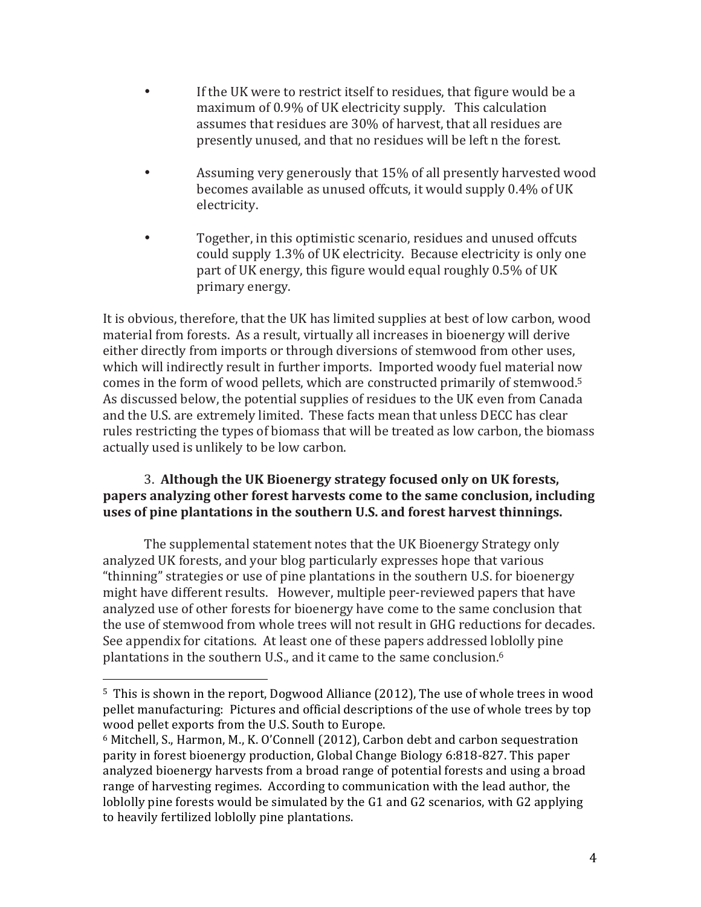- If the UK were to restrict itself to residues, that figure would be a maximum of 0.9% of UK electricity supply. This calculation assumes that residues are 30% of harvest, that all residues are presently unused, and that no residues will be left n the forest.
- Assuming very generously that 15% of all presently harvested wood becomes available as unused offcuts, it would supply 0.4% of UK electricity.
- Together, in this optimistic scenario, residues and unused offcuts could supply 1.3% of UK electricity. Because electricity is only one part of UK energy, this figure would equal roughly 0.5% of UK primary energy.

It is obvious, therefore, that the UK has limited supplies at best of low carbon, wood material from forests. As a result, virtually all increases in bioenergy will derive either directly from imports or through diversions of stemwood from other uses, which will indirectly result in further imports. Imported woody fuel material now comes in the form of wood pellets, which are constructed primarily of stemwood.<sup>5</sup> As discussed below, the potential supplies of residues to the UK even from Canada and the U.S. are extremely limited. These facts mean that unless DECC has clear rules restricting the types of biomass that will be treated as low carbon, the biomass actually used is unlikely to be low carbon.

## 3. Although the UK Bioenergy strategy focused only on UK forests, **papers analyzing other forest harvests come to the same conclusion, including uses of pine plantations in the southern U.S. and forest harvest thinnings.**

The supplemental statement notes that the UK Bioenergy Strategy only analyzed UK forests, and your blog particularly expresses hope that various "thinning" strategies or use of pine plantations in the southern U.S. for bioenergy might have different results. However, multiple peer-reviewed papers that have analyzed use of other forests for bioenergy have come to the same conclusion that the use of stemwood from whole trees will not result in GHG reductions for decades. See appendix for citations. At least one of these papers addressed loblolly pine plantations in the southern U.S., and it came to the same conclusion.<sup>6</sup>

 $5$  This is shown in the report, Dogwood Alliance (2012), The use of whole trees in wood pellet manufacturing: Pictures and official descriptions of the use of whole trees by top wood pellet exports from the U.S. South to Europe.

 $6$  Mitchell, S., Harmon, M., K. O'Connell (2012), Carbon debt and carbon sequestration parity in forest bioenergy production, Global Change Biology 6:818-827. This paper analyzed bioenergy harvests from a broad range of potential forests and using a broad range of harvesting regimes. According to communication with the lead author, the loblolly pine forests would be simulated by the  $G1$  and  $G2$  scenarios, with  $G2$  applying to heavily fertilized loblolly pine plantations.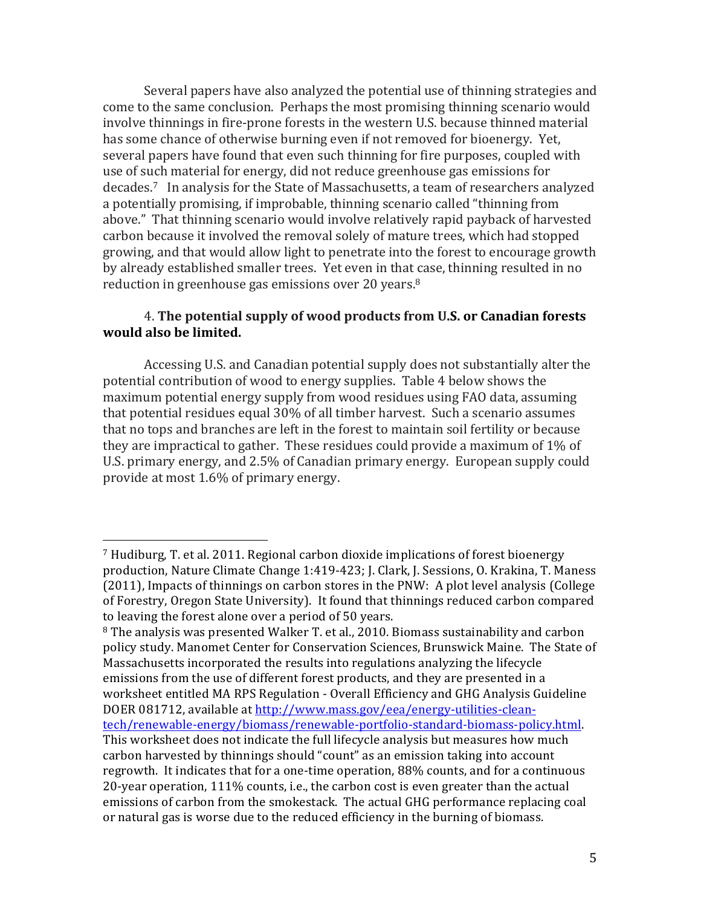Several papers have also analyzed the potential use of thinning strategies and come to the same conclusion. Perhaps the most promising thinning scenario would involve thinnings in fire-prone forests in the western U.S. because thinned material has some chance of otherwise burning even if not removed for bioenergy. Yet, several papers have found that even such thinning for fire purposes, coupled with use of such material for energy, did not reduce greenhouse gas emissions for decades.<sup>7</sup> In analysis for the State of Massachusetts, a team of researchers analyzed a potentially promising, if improbable, thinning scenario called "thinning from above." That thinning scenario would involve relatively rapid payback of harvested carbon because it involved the removal solely of mature trees, which had stopped growing, and that would allow light to penetrate into the forest to encourage growth by already established smaller trees. Yet even in that case, thinning resulted in no reduction in greenhouse gas emissions over 20 years.<sup>8</sup>

### 4. The potential supply of wood products from U.S. or Canadian forests **would also be limited.**

Accessing U.S. and Canadian potential supply does not substantially alter the potential contribution of wood to energy supplies. Table 4 below shows the maximum potential energy supply from wood residues using FAO data, assuming that potential residues equal 30% of all timber harvest. Such a scenario assumes that no tops and branches are left in the forest to maintain soil fertility or because they are impractical to gather. These residues could provide a maximum of  $1\%$  of U.S. primary energy, and 2.5% of Canadian primary energy. European supply could provide at most  $1.6\%$  of primary energy.

 $<sup>7</sup>$  Hudiburg, T. et al. 2011. Regional carbon dioxide implications of forest bioenergy</sup> production, Nature Climate Change 1:419-423; J. Clark, J. Sessions, O. Krakina, T. Maness (2011), Impacts of thinnings on carbon stores in the PNW: A plot level analysis (College of Forestry, Oregon State University). It found that thinnings reduced carbon compared to leaving the forest alone over a period of 50 years.

 $8$  The analysis was presented Walker T. et al., 2010. Biomass sustainability and carbon policy study. Manomet Center for Conservation Sciences, Brunswick Maine. The State of Massachusetts incorporated the results into regulations analyzing the lifecycle emissions from the use of different forest products, and they are presented in a worksheet entitled MA RPS Regulation - Overall Efficiency and GHG Analysis Guideline DOER 081712, available at http://www.mass.gov/eea/energy-utilities-cleantech/renewable-energy/biomass/renewable-portfolio-standard-biomass-policy.html. This worksheet does not indicate the full lifecycle analysis but measures how much carbon harvested by thinnings should "count" as an emission taking into account regrowth. It indicates that for a one-time operation, 88% counts, and for a continuous 20-year operation, 111% counts, i.e., the carbon cost is even greater than the actual emissions of carbon from the smokestack. The actual GHG performance replacing coal or natural gas is worse due to the reduced efficiency in the burning of biomass.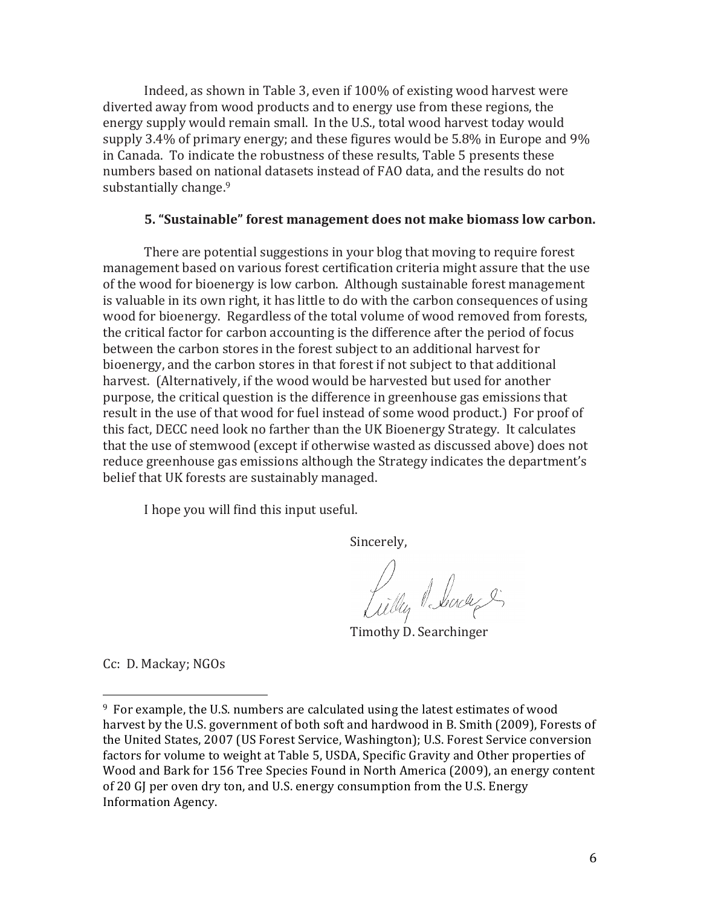Indeed, as shown in Table 3, even if 100% of existing wood harvest were diverted away from wood products and to energy use from these regions, the energy supply would remain small. In the U.S., total wood harvest today would supply  $3.4\%$  of primary energy; and these figures would be 5.8% in Europe and 9% in Canada. To indicate the robustness of these results, Table 5 presents these numbers based on national datasets instead of FAO data, and the results do not substantially change.<sup>9</sup>

#### **5. "Sustainable" forest management does not make biomass low carbon.**

There are potential suggestions in your blog that moving to require forest management based on various forest certification criteria might assure that the use of the wood for bioenergy is low carbon. Although sustainable forest management is valuable in its own right, it has little to do with the carbon consequences of using wood for bioenergy. Regardless of the total volume of wood removed from forests, the critical factor for carbon accounting is the difference after the period of focus between the carbon stores in the forest subject to an additional harvest for bioenergy, and the carbon stores in that forest if not subject to that additional harvest. (Alternatively, if the wood would be harvested but used for another purpose, the critical question is the difference in greenhouse gas emissions that result in the use of that wood for fuel instead of some wood product.) For proof of this fact, DECC need look no farther than the UK Bioenergy Strategy. It calculates that the use of stemwood (except if otherwise wasted as discussed above) does not reduce greenhouse gas emissions although the Strategy indicates the department's belief that UK forests are sustainably managed.

I hope you will find this input useful.

Sincerely,

Lilly Seach

Timothy D. Searchinger

Cc: D. Mackay; NGOs

 $9\,$  For example, the U.S. numbers are calculated using the latest estimates of wood harvest by the U.S. government of both soft and hardwood in B. Smith (2009), Forests of the United States, 2007 (US Forest Service, Washington); U.S. Forest Service conversion factors for volume to weight at Table 5, USDA, Specific Gravity and Other properties of Wood and Bark for 156 Tree Species Found in North America (2009), an energy content of 20 GJ per oven dry ton, and U.S. energy consumption from the U.S. Energy Information Agency.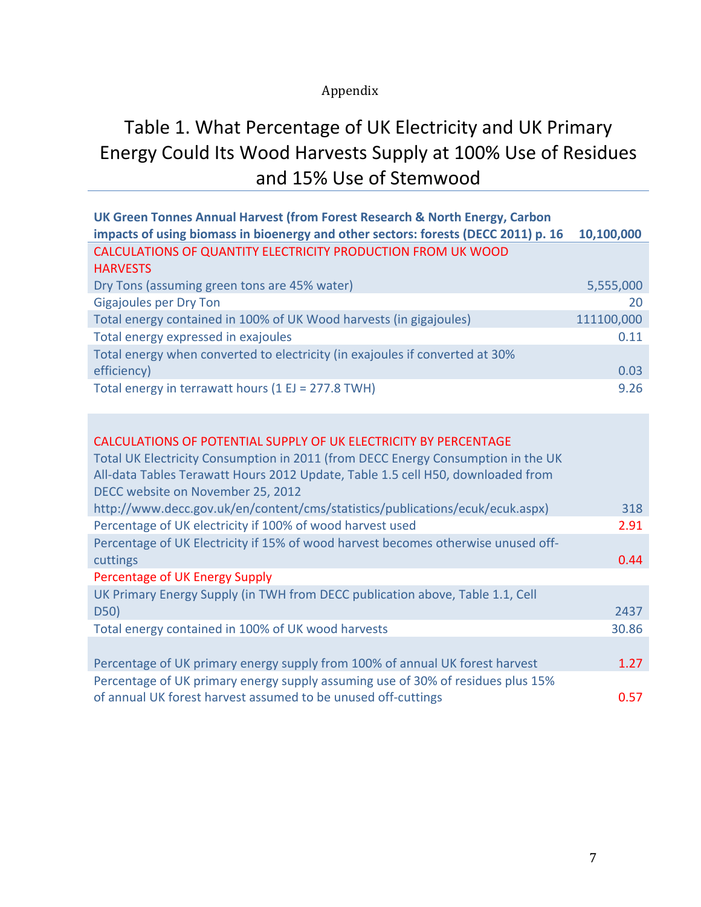## Appendix

# Table 1. What Percentage of UK Electricity and UK Primary Energy Could Its Wood Harvests Supply at 100% Use of Residues and 15% Use of Stemwood

| UK Green Tonnes Annual Harvest (from Forest Research & North Energy, Carbon        |            |
|------------------------------------------------------------------------------------|------------|
| impacts of using biomass in bioenergy and other sectors: forests (DECC 2011) p. 16 | 10,100,000 |
| <b>CALCULATIONS OF QUANTITY ELECTRICITY PRODUCTION FROM UK WOOD</b>                |            |
| <b>HARVESTS</b>                                                                    |            |
| Dry Tons (assuming green tons are 45% water)                                       | 5,555,000  |
| <b>Gigajoules per Dry Ton</b>                                                      | 20         |
| Total energy contained in 100% of UK Wood harvests (in gigajoules)                 | 111100,000 |
| Total energy expressed in exajoules                                                | 0.11       |
| Total energy when converted to electricity (in exajoules if converted at 30%       |            |
| efficiency)                                                                        | 0.03       |
| Total energy in terrawatt hours (1 EJ = 277.8 TWH)                                 | 9.26       |

## CALCULATIONS OF POTENTIAL SUPPLY OF UK ELECTRICITY BY PERCENTAGE

| Total UK Electricity Consumption in 2011 (from DECC Energy Consumption in the UK  |       |
|-----------------------------------------------------------------------------------|-------|
| All-data Tables Terawatt Hours 2012 Update, Table 1.5 cell H50, downloaded from   |       |
| DECC website on November 25, 2012                                                 |       |
| http://www.decc.gov.uk/en/content/cms/statistics/publications/ecuk/ecuk.aspx)     | 318   |
| Percentage of UK electricity if 100% of wood harvest used                         | 2.91  |
| Percentage of UK Electricity if 15% of wood harvest becomes otherwise unused off- |       |
| cuttings                                                                          | 0.44  |
| Percentage of UK Energy Supply                                                    |       |
| UK Primary Energy Supply (in TWH from DECC publication above, Table 1.1, Cell     |       |
| D50)                                                                              | 2437  |
| Total energy contained in 100% of UK wood harvests                                | 30.86 |
|                                                                                   |       |
| Percentage of UK primary energy supply from 100% of annual UK forest harvest      | 1.27  |
| Percentage of UK primary energy supply assuming use of 30% of residues plus 15%   |       |
| of annual UK forest harvest assumed to be unused off-cuttings                     | 0.57  |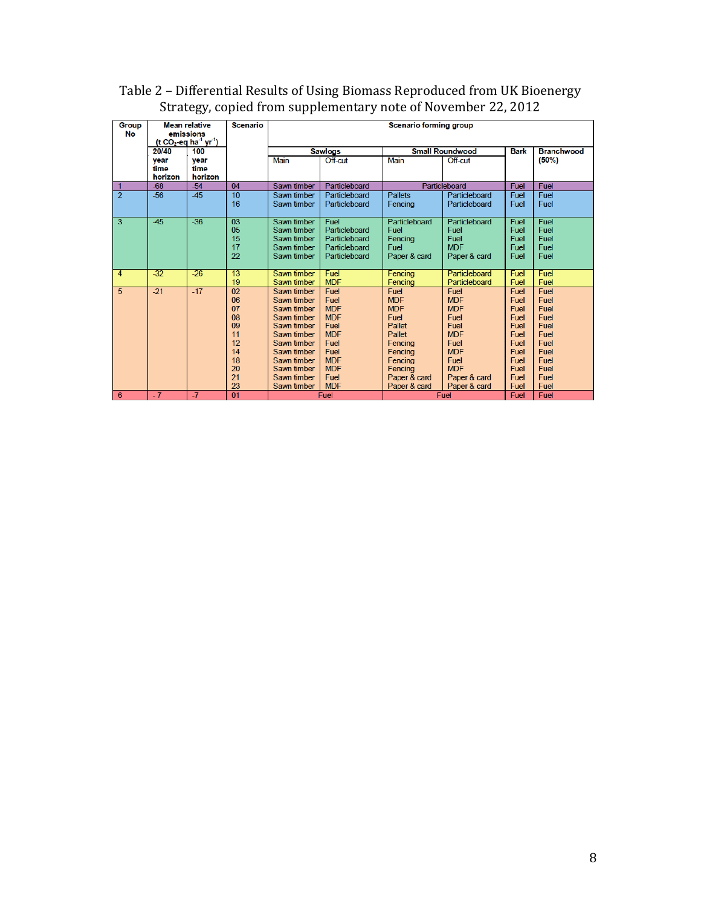| <b>Group</b><br>No |                         | <b>Mean relative</b><br>emissions<br>(t CO <sub>2</sub> -eq ha <sup>-1</sup> yr <sup>-1</sup> ) | <b>Scenario</b>                                                      | <b>Scenario forming group</b>                                                                                                                                                    |                                                                                                                                  |                                                                                                                                          |                                                                                                                                            |                                                                                                                                        |                                                                                              |
|--------------------|-------------------------|-------------------------------------------------------------------------------------------------|----------------------------------------------------------------------|----------------------------------------------------------------------------------------------------------------------------------------------------------------------------------|----------------------------------------------------------------------------------------------------------------------------------|------------------------------------------------------------------------------------------------------------------------------------------|--------------------------------------------------------------------------------------------------------------------------------------------|----------------------------------------------------------------------------------------------------------------------------------------|----------------------------------------------------------------------------------------------|
|                    | 20/40                   | 100                                                                                             |                                                                      | <b>Sawlogs</b>                                                                                                                                                                   |                                                                                                                                  | <b>Small Roundwood</b>                                                                                                                   |                                                                                                                                            | <b>Bark</b>                                                                                                                            | <b>Branchwood</b>                                                                            |
|                    | vear<br>time<br>horizon | year<br>time<br>horizon                                                                         |                                                                      | <b>Main</b>                                                                                                                                                                      | Off-cut                                                                                                                          | <b>Main</b>                                                                                                                              | Off-cut                                                                                                                                    |                                                                                                                                        | $(50\%)$                                                                                     |
|                    | $-68$                   | $-54$                                                                                           | 04                                                                   | Sawn timber                                                                                                                                                                      | Particleboard                                                                                                                    |                                                                                                                                          | Particleboard                                                                                                                              | Fuel                                                                                                                                   | Fuel                                                                                         |
| $\overline{2}$     | $-56$                   | $-45$                                                                                           | 10<br>16                                                             | Sawn timber<br>Sawn timber                                                                                                                                                       | Particleboard<br>Particleboard                                                                                                   | <b>Pallets</b><br>Fencing                                                                                                                | Particleboard<br>Particleboard                                                                                                             | Fuel<br><b>Fuel</b>                                                                                                                    | Fuel<br>Fuel                                                                                 |
| 3                  | $-45$                   | $-36$                                                                                           | 03<br>05<br>15<br>17<br>22                                           | Sawn timber<br>Sawn timber<br>Sawn timber<br>Sawn timber<br>Sawn timber                                                                                                          | Fuel<br>Particleboard<br>Particleboard<br>Particleboard<br>Particleboard                                                         | Particleboard<br>Fuel<br>Fencing<br>Fuel<br>Paper & card                                                                                 | Particleboard<br>Fuel<br>Fuel<br><b>MDF</b><br>Paper & card                                                                                | Fuel<br>Fuel<br>Fuel<br>Fuel<br>Fuel                                                                                                   | Fuel<br>Fuel<br>Fuel<br>Fuel<br>Fuel                                                         |
| 4                  | $-32$                   | $-26$                                                                                           | 13<br>19                                                             | Sawn timber<br>Sawn timber                                                                                                                                                       | Fuel<br><b>MDF</b>                                                                                                               | Fencing<br>Fencing                                                                                                                       | Particleboard<br>Particleboard                                                                                                             | Fuel<br>Fuel                                                                                                                           | Fuel<br>Fuel                                                                                 |
| 5                  | $-21$                   | $-17$                                                                                           | 02<br>06<br>07<br>08<br>09<br>11<br>12<br>14<br>18<br>20<br>21<br>23 | Sawn timber<br>Sawn timber<br>Sawn timber<br>Sawn timber<br>Sawn timber<br>Sawn timber<br>Sawn timber<br>Sawn timber<br>Sawn timber<br>Sawn timber<br>Sawn timber<br>Sawn timber | Fuel<br>Fuel<br><b>MDF</b><br><b>MDF</b><br>Fuel<br><b>MDF</b><br>Fuel<br>Fuel<br><b>MDF</b><br><b>MDF</b><br>Fuel<br><b>MDF</b> | Fuel<br><b>MDF</b><br><b>MDF</b><br>Fuel<br>Pallet<br>Pallet<br>Fencing<br>Fencina<br>Fencina<br>Fencing<br>Paper & card<br>Paper & card | Fuel<br><b>MDF</b><br><b>MDF</b><br>Fuel<br>Fuel<br><b>MDF</b><br>Fuel<br><b>MDF</b><br>Fuel<br><b>MDF</b><br>Paper & card<br>Paper & card | <b>Fuel</b><br><b>Fuel</b><br>Fuel<br>Fuel<br><b>Fuel</b><br><b>Fuel</b><br><b>Fuel</b><br>Fuel<br>Fuel<br><b>Fuel</b><br>Fuel<br>Fuel | Fuel<br>Fuel<br>Fuel<br>Fuel<br>Fuel<br>Fuel<br>Fuel<br>Fuel<br>Fuel<br>Fuel<br>Fuel<br>Fuel |
| 6                  | $-7$                    | $-7$                                                                                            | 01                                                                   |                                                                                                                                                                                  | Fuel                                                                                                                             |                                                                                                                                          | Fuel                                                                                                                                       | <b>Fuel</b>                                                                                                                            | Fuel                                                                                         |

Table 2 - Differential Results of Using Biomass Reproduced from UK Bioenergy Strategy, copied from supplementary note of November 22, 2012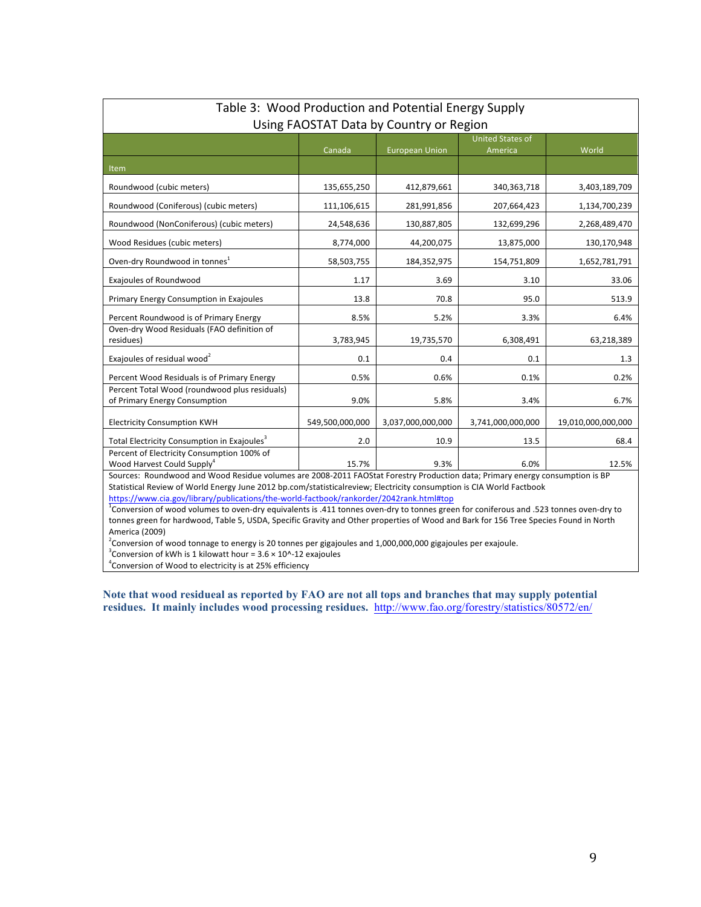| Table 3: Wood Production and Potential Energy Supply                                                                                                                                                                                                 |                 |                       |                                    |                    |  |
|------------------------------------------------------------------------------------------------------------------------------------------------------------------------------------------------------------------------------------------------------|-----------------|-----------------------|------------------------------------|--------------------|--|
| Using FAOSTAT Data by Country or Region                                                                                                                                                                                                              |                 |                       |                                    |                    |  |
|                                                                                                                                                                                                                                                      | Canada          | <b>European Union</b> | <b>United States of</b><br>America | World              |  |
| Item                                                                                                                                                                                                                                                 |                 |                       |                                    |                    |  |
| Roundwood (cubic meters)                                                                                                                                                                                                                             | 135,655,250     | 412,879,661           | 340, 363, 718                      | 3,403,189,709      |  |
| Roundwood (Coniferous) (cubic meters)                                                                                                                                                                                                                | 111,106,615     | 281,991,856           | 207,664,423                        | 1,134,700,239      |  |
| Roundwood (NonConiferous) (cubic meters)                                                                                                                                                                                                             | 24,548,636      | 130,887,805           | 132,699,296                        | 2,268,489,470      |  |
| Wood Residues (cubic meters)                                                                                                                                                                                                                         | 8,774,000       | 44,200,075            | 13,875,000                         | 130,170,948        |  |
| Oven-dry Roundwood in tonnes <sup>1</sup>                                                                                                                                                                                                            | 58,503,755      | 184,352,975           | 154,751,809                        | 1,652,781,791      |  |
| Exajoules of Roundwood                                                                                                                                                                                                                               | 1.17            | 3.69                  | 3.10                               | 33.06              |  |
| Primary Energy Consumption in Exajoules                                                                                                                                                                                                              | 13.8            | 70.8                  | 95.0                               | 513.9              |  |
| Percent Roundwood is of Primary Energy                                                                                                                                                                                                               | 8.5%            | 5.2%                  | 3.3%                               | 6.4%               |  |
| Oven-dry Wood Residuals (FAO definition of<br>residues)                                                                                                                                                                                              | 3,783,945       | 19,735,570            | 6,308,491                          | 63,218,389         |  |
| Exajoules of residual wood <sup>2</sup>                                                                                                                                                                                                              | 0.1             | 0.4                   | 0.1                                | 1.3                |  |
| Percent Wood Residuals is of Primary Energy                                                                                                                                                                                                          | 0.5%            | 0.6%                  | 0.1%                               | 0.2%               |  |
| Percent Total Wood (roundwood plus residuals)<br>of Primary Energy Consumption                                                                                                                                                                       | 9.0%            | 5.8%                  | 3.4%                               | 6.7%               |  |
| <b>Electricity Consumption KWH</b>                                                                                                                                                                                                                   | 549,500,000,000 | 3,037,000,000,000     | 3,741,000,000,000                  | 19,010,000,000,000 |  |
| Total Electricity Consumption in Exajoules <sup>3</sup>                                                                                                                                                                                              | 2.0             | 10.9                  | 13.5                               | 68.4               |  |
| Percent of Electricity Consumption 100% of<br>Wood Harvest Could Supply <sup>4</sup>                                                                                                                                                                 | 15.7%           | 9.3%                  | 6.0%                               | 12.5%              |  |
| Sources: Roundwood and Wood Residue volumes are 2008-2011 FAOStat Forestry Production data; Primary energy consumption is BP<br>Statistical Review of World Energy June 2012 bp.com/statisticalreview; Electricity consumption is CIA World Factbook |                 |                       |                                    |                    |  |

#### https://www.cia.gov/library/publications/the-world-factbook/rankorder/2042rank.html#top

<sup>1</sup>Conversion of wood volumes to oven-dry equivalents is .411 tonnes oven-dry to tonnes green for coniferous and .523 tonnes oven-dry to tonnes green for hardwood, Table 5, USDA, Specific Gravity and Other properties of Wood and Bark for 156 Tree Species Found in North America (2009)

 $^2$ Conversion of wood tonnage to energy is 20 tonnes per gigajoules and 1,000,000,000 gigajoules per exajoule.

 $3$ Conversion of kWh is 1 kilowatt hour = 3.6  $\times$  10^-12 exajoules

<sup>4</sup> Conversion of Wood to electricity is at 25% efficiency

**Note that wood residueal as reported by FAO are not all tops and branches that may supply potential residues. It mainly includes wood processing residues.** http://www.fao.org/forestry/statistics/80572/en/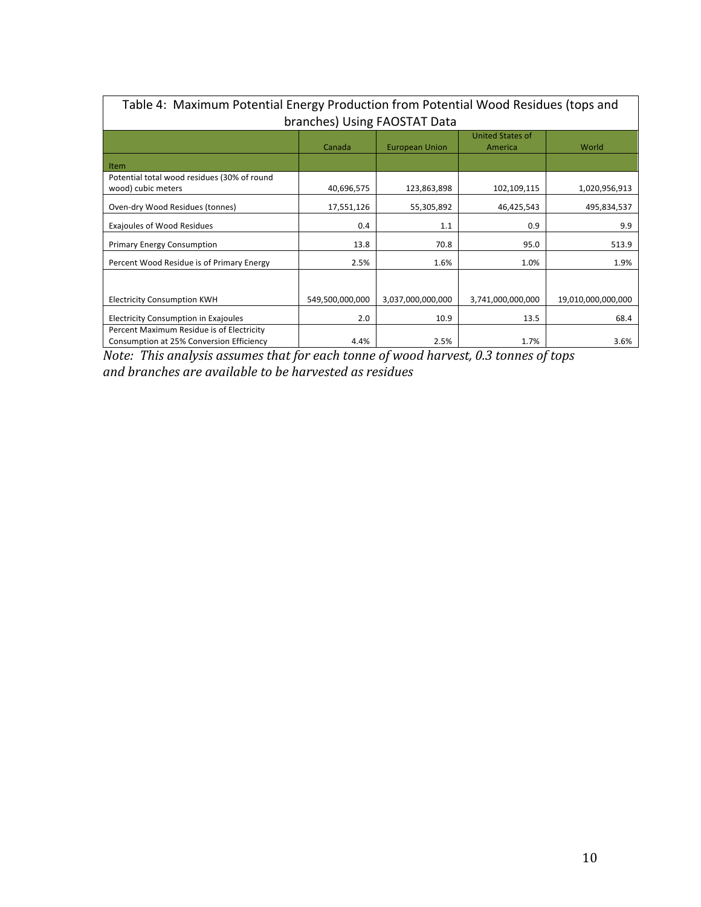| Table 4: Maximum Potential Energy Production from Potential Wood Residues (tops and |                 |                       |                         |                    |  |
|-------------------------------------------------------------------------------------|-----------------|-----------------------|-------------------------|--------------------|--|
| branches) Using FAOSTAT Data                                                        |                 |                       |                         |                    |  |
|                                                                                     |                 |                       | <b>United States of</b> |                    |  |
|                                                                                     | Canada          | <b>European Union</b> | America                 | World              |  |
| <b>Item</b>                                                                         |                 |                       |                         |                    |  |
| Potential total wood residues (30% of round                                         |                 |                       |                         |                    |  |
| wood) cubic meters                                                                  | 40,696,575      | 123,863,898           | 102,109,115             | 1,020,956,913      |  |
| Oven-dry Wood Residues (tonnes)                                                     | 17,551,126      | 55,305,892            | 46,425,543              | 495,834,537        |  |
| <b>Exajoules of Wood Residues</b>                                                   | 0.4             | 1.1                   | 0.9                     | 9.9                |  |
| <b>Primary Energy Consumption</b>                                                   | 13.8            | 70.8                  | 95.0                    | 513.9              |  |
| Percent Wood Residue is of Primary Energy                                           | 2.5%            | 1.6%                  | 1.0%                    | 1.9%               |  |
|                                                                                     |                 |                       |                         |                    |  |
| <b>Electricity Consumption KWH</b>                                                  | 549,500,000,000 | 3,037,000,000,000     | 3,741,000,000,000       | 19,010,000,000,000 |  |
| Electricity Consumption in Exajoules                                                | 2.0             | 10.9                  | 13.5                    | 68.4               |  |
| Percent Maximum Residue is of Electricity                                           |                 |                       |                         |                    |  |
| Consumption at 25% Conversion Efficiency                                            | 4.4%            | 2.5%                  | 1.7%                    | 3.6%               |  |

*Note: This analysis assumes that for each tonne of wood harvest, 0.3 tonnes of tops and branches are available to be harvested as residues*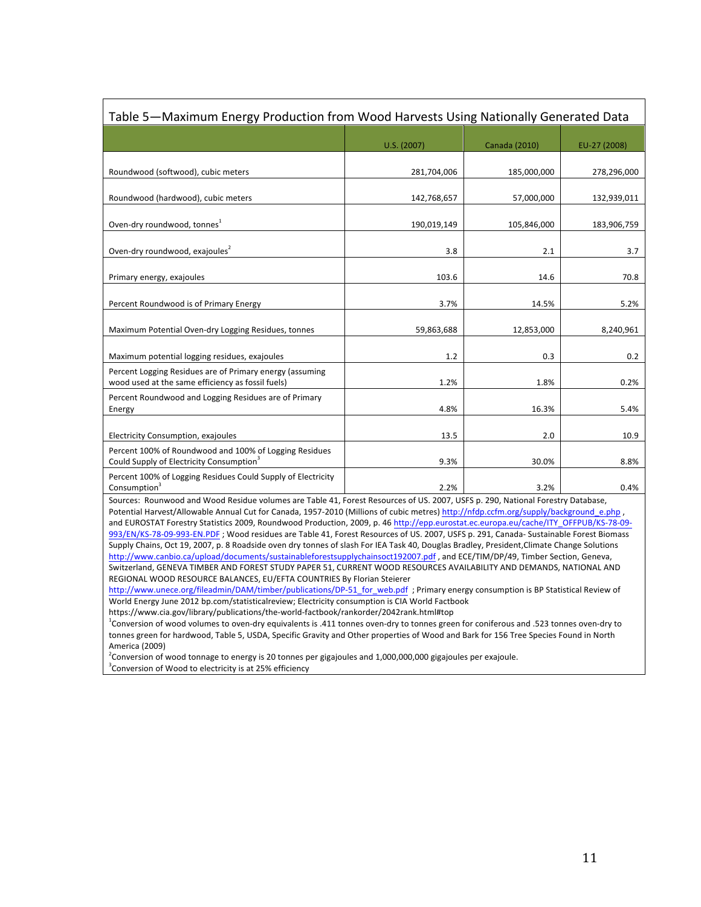| Table 5—Maximum Energy Production from Wood Harvests Using Nationally Generated Data                           |             |               |              |  |  |
|----------------------------------------------------------------------------------------------------------------|-------------|---------------|--------------|--|--|
|                                                                                                                | U.S. (2007) | Canada (2010) | EU-27 (2008) |  |  |
| Roundwood (softwood), cubic meters                                                                             | 281,704,006 | 185,000,000   | 278,296,000  |  |  |
| Roundwood (hardwood), cubic meters                                                                             | 142,768,657 | 57,000,000    | 132,939,011  |  |  |
| Oven-dry roundwood, tonnes <sup>1</sup>                                                                        | 190,019,149 | 105,846,000   | 183,906,759  |  |  |
| Oven-dry roundwood, exajoules <sup>2</sup>                                                                     | 3.8         | 2.1           | 3.7          |  |  |
| Primary energy, exajoules                                                                                      | 103.6       | 14.6          | 70.8         |  |  |
| Percent Roundwood is of Primary Energy                                                                         | 3.7%        | 14.5%         | 5.2%         |  |  |
| Maximum Potential Oven-dry Logging Residues, tonnes                                                            | 59,863,688  | 12,853,000    | 8,240,961    |  |  |
| Maximum potential logging residues, exajoules                                                                  | 1.2         | 0.3           | 0.2          |  |  |
| Percent Logging Residues are of Primary energy (assuming<br>wood used at the same efficiency as fossil fuels)  | 1.2%        | 1.8%          | 0.2%         |  |  |
| Percent Roundwood and Logging Residues are of Primary<br>Energy                                                | 4.8%        | 16.3%         | 5.4%         |  |  |
| Electricity Consumption, exajoules                                                                             | 13.5        | 2.0           | 10.9         |  |  |
| Percent 100% of Roundwood and 100% of Logging Residues<br>Could Supply of Electricity Consumption <sup>3</sup> | 9.3%        | 30.0%         | 8.8%         |  |  |
| Percent 100% of Logging Residues Could Supply of Electricity<br>Consumption <sup>3</sup>                       | 2.2%        | 3.2%          | 0.4%         |  |  |

Sources: Rounwood and Wood Residue volumes are Table 41, Forest Resources of US. 2007, USFS p. 290, National Forestry Database, Potential Harvest/Allowable Annual Cut for Canada, 1957-2010 (Millions of cubic metres) http://nfdp.ccfm.org/supply/background\_e.php , and EUROSTAT Forestry Statistics 2009, Roundwood Production, 2009, p. 46 http://epp.eurostat.ec.europa.eu/cache/ITY\_OFFPUB/KS-78-09-993/EN/KS-78-09-993-EN.PDF; Wood residues are Table 41, Forest Resources of US. 2007, USFS p. 291, Canada- Sustainable Forest Biomass Supply Chains, Oct 19, 2007, p. 8 Roadside oven dry tonnes of slash For IEA Task 40, Douglas Bradley, President,Climate Change Solutions http://www.canbio.ca/upload/documents/sustainableforestsupplychainsoct192007.pdf, and ECE/TIM/DP/49, Timber Section, Geneva, Switzerland, GENEVA TIMBER AND FOREST STUDY PAPER 51, CURRENT WOOD RESOURCES AVAILABILITY AND DEMANDS, NATIONAL AND REGIONAL WOOD RESOURCE BALANCES, EU/EFTA COUNTRIES By Florian Steierer

http://www.unece.org/fileadmin/DAM/timber/publications/DP-51\_for\_web.pdf ; Primary energy consumption is BP Statistical Review of World Energy June 2012 bp.com/statisticalreview; Electricity consumption is CIA World Factbook

https://www.cia.gov/library/publications/the-world-factbook/rankorder/2042rank.html#top

<sup>1</sup>Conversion of wood volumes to oven-dry equivalents is .411 tonnes oven-dry to tonnes green for coniferous and .523 tonnes oven-dry to tonnes green for hardwood, Table 5, USDA, Specific Gravity and Other properties of Wood and Bark for 156 Tree Species Found in North America (2009)

 $^2$ Conversion of wood tonnage to energy is 20 tonnes per gigajoules and 1,000,000,000 gigajoules per exajoule.

 $3$ Conversion of Wood to electricity is at 25% efficiency